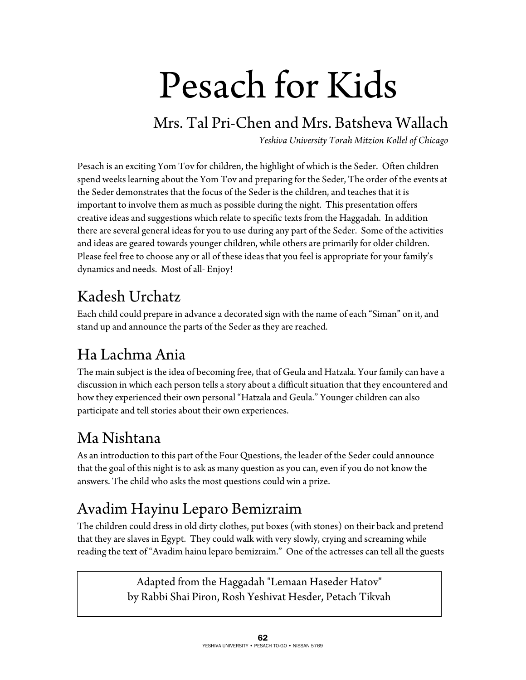# Pesach for Kids

#### Mrs. Tal Pri-Chen and Mrs. Batsheva Wallach

*Yeshiva University Torah Mitzion Kollel of Chicago* 

Pesach is an exciting Yom Tov for children, the highlight of which is the Seder. Often children spend weeks learning about the Yom Tov and preparing for the Seder, The order of the events at the Seder demonstrates that the focus of the Seder is the children, and teaches that it is important to involve them as much as possible during the night. This presentation offers creative ideas and suggestions which relate to specific texts from the Haggadah. In addition there are several general ideas for you to use during any part of the Seder. Some of the activities and ideas are geared towards younger children, while others are primarily for older children. Please feel free to choose any or all of these ideas that you feel is appropriate for your family's dynamics and needs. Most of all- Enjoy!

### Kadesh Urchatz

Each child could prepare in advance a decorated sign with the name of each "Siman" on it, and stand up and announce the parts of the Seder as they are reached.

## Ha Lachma Ania

The main subject is the idea of becoming free, that of Geula and Hatzala. Your family can have a discussion in which each person tells a story about a difficult situation that they encountered and how they experienced their own personal "Hatzala and Geula." Younger children can also participate and tell stories about their own experiences.

## Ma Nishtana

As an introduction to this part of the Four Questions, the leader of the Seder could announce that the goal of this night is to ask as many question as you can, even if you do not know the answers. The child who asks the most questions could win a prize.

## Avadim Hayinu Leparo Bemizraim

The children could dress in old dirty clothes, put boxes (with stones) on their back and pretend that they are slaves in Egypt. They could walk with very slowly, crying and screaming while reading the text of "Avadim hainu leparo bemizraim." One of the actresses can tell all the guests

> Adapted from the Haggadah "Lemaan Haseder Hatov" by Rabbi Shai Piron, Rosh Yeshivat Hesder, Petach Tikvah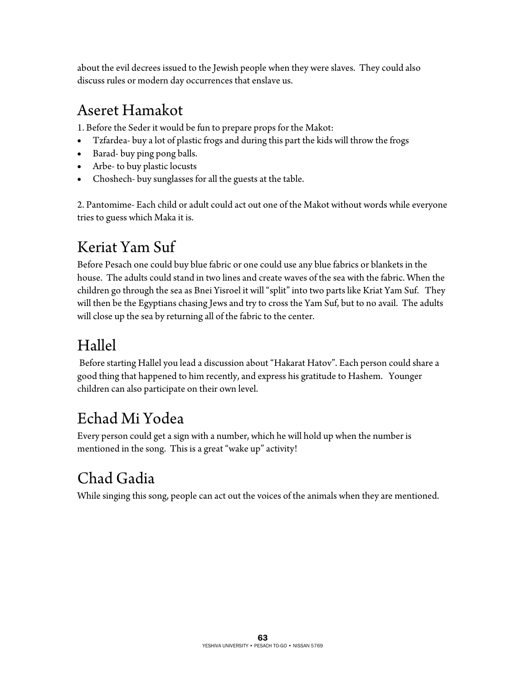about the evil decrees issued to the Jewish people when they were slaves. They could also discuss rules or modern day occurrences that enslave us.

#### Aseret Hamakot

1. Before the Seder it would be fun to prepare props for the Makot:

- Tzfardea- buy a lot of plastic frogs and during this part the kids will throw the frogs
- Barad- buy ping pong balls.
- Arbe- to buy plastic locusts
- Choshech- buy sunglasses for all the guests at the table.

2. Pantomime- Each child or adult could act out one of the Makot without words while everyone tries to guess which Maka it is.

## Keriat Yam Suf

Before Pesach one could buy blue fabric or one could use any blue fabrics or blankets in the house. The adults could stand in two lines and create waves of the sea with the fabric. When the children go through the sea as Bnei Yisroel it will "split" into two parts like Kriat Yam Suf. They will then be the Egyptians chasing Jews and try to cross the Yam Suf, but to no avail. The adults will close up the sea by returning all of the fabric to the center.

## Hallel

 Before starting Hallel you lead a discussion about "Hakarat Hatov". Each person could share a good thing that happened to him recently, and express his gratitude to Hashem. Younger children can also participate on their own level.

## Echad Mi Yodea

Every person could get a sign with a number, which he will hold up when the number is mentioned in the song. This is a great "wake up" activity!

## Chad Gadia

While singing this song, people can act out the voices of the animals when they are mentioned.